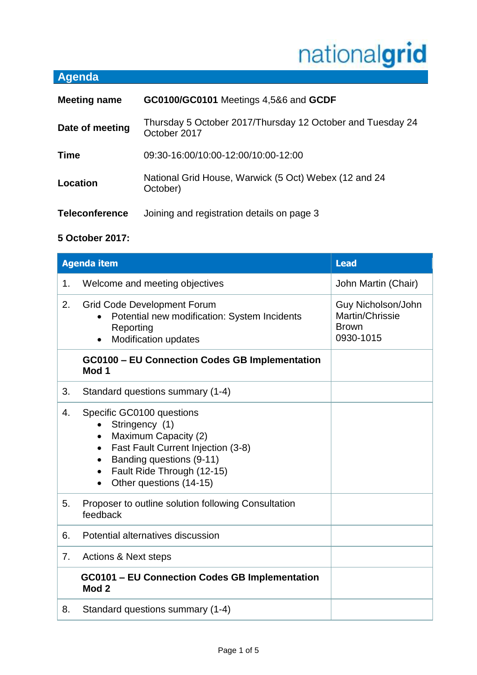# nationalgrid

# **Agenda**

| <b>Meeting name</b>   | GC0100/GC0101 Meetings 4,5&6 and GCDF                                      |
|-----------------------|----------------------------------------------------------------------------|
| Date of meeting       | Thursday 5 October 2017/Thursday 12 October and Tuesday 24<br>October 2017 |
| <b>Time</b>           | 09:30-16:00/10:00-12:00/10:00-12:00                                        |
| Location              | National Grid House, Warwick (5 Oct) Webex (12 and 24<br>October)          |
| <b>Teleconference</b> | Joining and registration details on page 3                                 |

## **5 October 2017:**

|    | <b>Agenda item</b><br><b>Lead</b>                                                                                                                                                                                                                               |                                                                    |
|----|-----------------------------------------------------------------------------------------------------------------------------------------------------------------------------------------------------------------------------------------------------------------|--------------------------------------------------------------------|
| 1. | Welcome and meeting objectives                                                                                                                                                                                                                                  | John Martin (Chair)                                                |
| 2. | <b>Grid Code Development Forum</b><br>Potential new modification: System Incidents<br>Reporting<br><b>Modification updates</b><br>$\bullet$                                                                                                                     | Guy Nicholson/John<br>Martin/Chrissie<br><b>Brown</b><br>0930-1015 |
|    | <b>GC0100 - EU Connection Codes GB Implementation</b><br>Mod 1                                                                                                                                                                                                  |                                                                    |
| 3. | Standard questions summary (1-4)                                                                                                                                                                                                                                |                                                                    |
| 4. | Specific GC0100 questions<br>Stringency (1)<br>Maximum Capacity (2)<br>$\bullet$<br>Fast Fault Current Injection (3-8)<br>$\bullet$<br>Banding questions (9-11)<br>$\bullet$<br>Fault Ride Through (12-15)<br>$\bullet$<br>Other questions (14-15)<br>$\bullet$ |                                                                    |
| 5. | Proposer to outline solution following Consultation<br>feedback                                                                                                                                                                                                 |                                                                    |
| 6. | Potential alternatives discussion                                                                                                                                                                                                                               |                                                                    |
| 7. | <b>Actions &amp; Next steps</b>                                                                                                                                                                                                                                 |                                                                    |
|    | GC0101 - EU Connection Codes GB Implementation<br>Mod <sub>2</sub>                                                                                                                                                                                              |                                                                    |
| 8. | Standard questions summary (1-4)                                                                                                                                                                                                                                |                                                                    |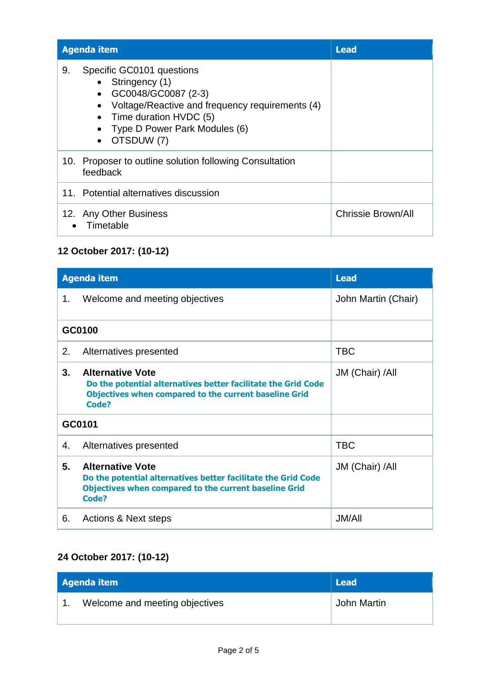| <b>Agenda item</b>                                                                                                                                                                                                | <b>Lead</b>        |
|-------------------------------------------------------------------------------------------------------------------------------------------------------------------------------------------------------------------|--------------------|
| Specific GC0101 questions<br>9.<br>Stringency (1)<br>GC0048/GC0087 (2-3)<br>Voltage/Reactive and frequency requirements (4)<br>Time duration HVDC (5)<br>Type D Power Park Modules (6)<br>OTSDUW (7)<br>$\bullet$ |                    |
| 10. Proposer to outline solution following Consultation<br>feedback                                                                                                                                               |                    |
| 11. Potential alternatives discussion                                                                                                                                                                             |                    |
| 12. Any Other Business<br>Timetable                                                                                                                                                                               | Chrissie Brown/All |

## **12 October 2017: (10-12)**

|    | <b>Agenda item</b><br><b>Lead</b>                                                                                                                                 |                     |
|----|-------------------------------------------------------------------------------------------------------------------------------------------------------------------|---------------------|
| 1. | Welcome and meeting objectives                                                                                                                                    | John Martin (Chair) |
|    | GC0100                                                                                                                                                            |                     |
| 2. | Alternatives presented                                                                                                                                            | <b>TBC</b>          |
| 3. | <b>Alternative Vote</b><br>Do the potential alternatives better facilitate the Grid Code<br><b>Objectives when compared to the current baseline Grid</b><br>Code? | JM (Chair) /All     |
|    | GC0101                                                                                                                                                            |                     |
| 4. | Alternatives presented                                                                                                                                            | <b>TBC</b>          |
| 5. | <b>Alternative Vote</b><br>Do the potential alternatives better facilitate the Grid Code<br><b>Objectives when compared to the current baseline Grid</b><br>Code? | JM (Chair) /All     |
| 6. | Actions & Next steps                                                                                                                                              | <b>JM/All</b>       |

## **24 October 2017: (10-12)**

| Agenda item |                                | <b>Lead</b> |
|-------------|--------------------------------|-------------|
|             | Welcome and meeting objectives | John Martin |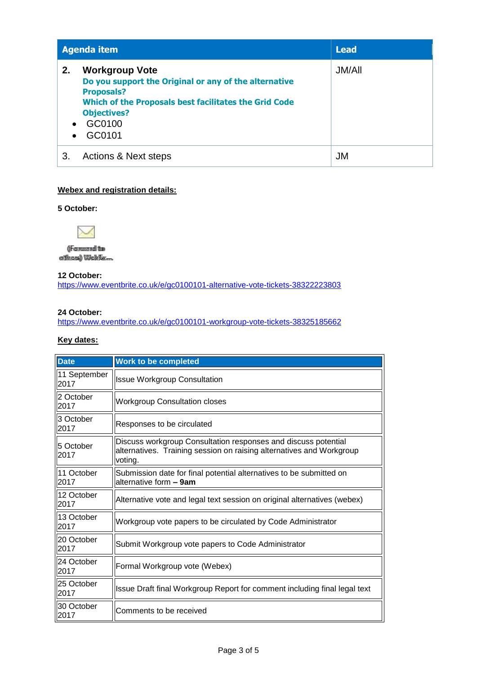|                              | <b>Agenda item</b><br><b>Lead</b>                                                                                                                                                                      |               |
|------------------------------|--------------------------------------------------------------------------------------------------------------------------------------------------------------------------------------------------------|---------------|
| 2.<br>$\bullet$<br>$\bullet$ | <b>Workgroup Vote</b><br>Do you support the Original or any of the alternative<br><b>Proposals?</b><br>Which of the Proposals best facilitates the Grid Code<br><b>Objectives?</b><br>GC0100<br>GC0101 | <b>JM/All</b> |
| 3.                           | <b>Actions &amp; Next steps</b>                                                                                                                                                                        | <b>JM</b>     |

#### **Webex and registration details:**

#### **5 October:**



(IF commers add that without) WeltEx...

**12 October:** <https://www.eventbrite.co.uk/e/gc0100101-alternative-vote-tickets-38322223803>

#### **24 October:**

<https://www.eventbrite.co.uk/e/gc0100101-workgroup-vote-tickets-38325185662>

#### **Key dates:**

| <b>Date</b>          | <b>Work to be completed</b>                                                                                                                       |
|----------------------|---------------------------------------------------------------------------------------------------------------------------------------------------|
| 11 September<br>2017 | <b>Issue Workgroup Consultation</b>                                                                                                               |
| 2 October<br>2017    | <b>Workgroup Consultation closes</b>                                                                                                              |
| 3 October<br>2017    | Responses to be circulated                                                                                                                        |
| 5 October<br>2017    | Discuss workgroup Consultation responses and discuss potential<br>alternatives. Training session on raising alternatives and Workgroup<br>voting. |
| 11 October<br>2017   | Submission date for final potential alternatives to be submitted on<br>alternative form - 9am                                                     |
| 12 October<br>2017   | Alternative vote and legal text session on original alternatives (webex)                                                                          |
| 13 October<br>2017   | Workgroup vote papers to be circulated by Code Administrator                                                                                      |
| 20 October<br>2017   | Submit Workgroup vote papers to Code Administrator                                                                                                |
| 24 October<br>2017   | Formal Workgroup vote (Webex)                                                                                                                     |
| 25 October<br>2017   | Issue Draft final Workgroup Report for comment including final legal text                                                                         |
| 30 October<br>2017   | Comments to be received                                                                                                                           |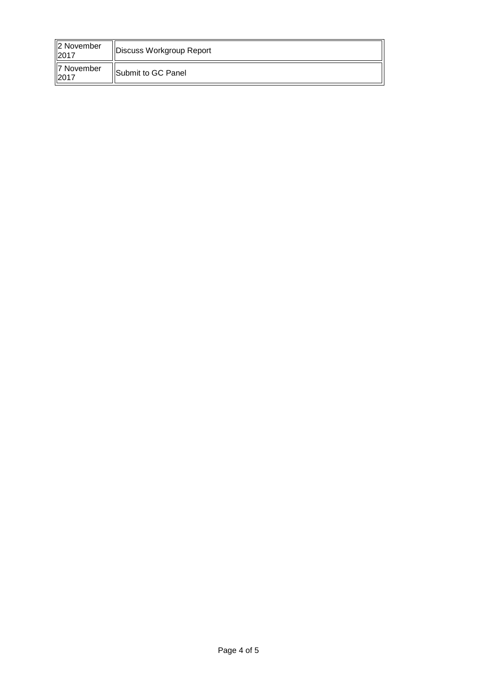| 2 November<br>2017 | Discuss Workgroup Report   |
|--------------------|----------------------------|
| 7 November<br>2017 | <b>ISubmit to GC Panel</b> |